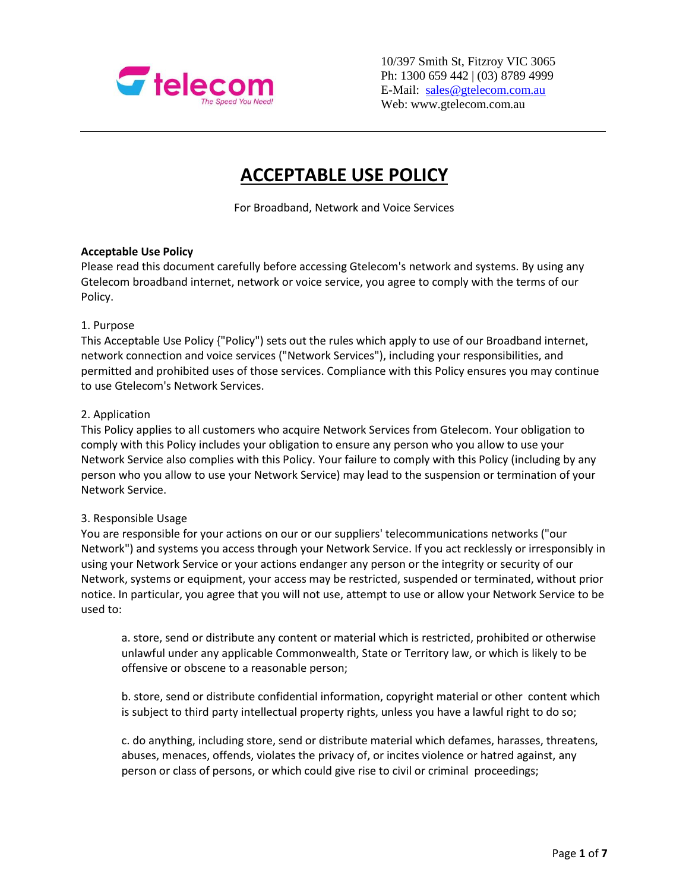

10/397 Smith St, Fitzroy VIC 3065 Ph: 1300 659 442 | (03) 8789 4999 E-Mail: [sales@gtelecom.com.au](mailto:sales@gtelecom.com.au) Web: www.gtelecom.com.au

# **ACCEPTABLE USE POLICY**

For Broadband, Network and Voice Services

## **Acceptable Use Policy**

Please read this document carefully before accessing Gtelecom's network and systems. By using any Gtelecom broadband internet, network or voice service, you agree to comply with the terms of our Policy.

### 1. Purpose

This Acceptable Use Policy {"Policy") sets out the rules which apply to use of our Broadband internet, network connection and voice services ("Network Services"), including your responsibilities, and permitted and prohibited uses of those services. Compliance with this Policy ensures you may continue to use Gtelecom's Network Services.

## 2. Application

This Policy applies to all customers who acquire Network Services from Gtelecom. Your obligation to comply with this Policy includes your obligation to ensure any person who you allow to use your Network Service also complies with this Policy. Your failure to comply with this Policy (including by any person who you allow to use your Network Service) may lead to the suspension or termination of your Network Service.

### 3. Responsible Usage

You are responsible for your actions on our or our suppliers' telecommunications networks ("our Network") and systems you access through your Network Service. If you act recklessly or irresponsibly in using your Network Service or your actions endanger any person or the integrity or security of our Network, systems or equipment, your access may be restricted, suspended or terminated, without prior notice. In particular, you agree that you will not use, attempt to use or allow your Network Service to be used to:

a. store, send or distribute any content or material which is restricted, prohibited or otherwise unlawful under any applicable Commonwealth, State or Territory law, or which is likely to be offensive or obscene to a reasonable person;

b. store, send or distribute confidential information, copyright material or other content which is subject to third party intellectual property rights, unless you have a lawful right to do so;

c. do anything, including store, send or distribute material which defames, harasses, threatens, abuses, menaces, offends, violates the privacy of, or incites violence or hatred against, any person or class of persons, or which could give rise to civil or criminal proceedings;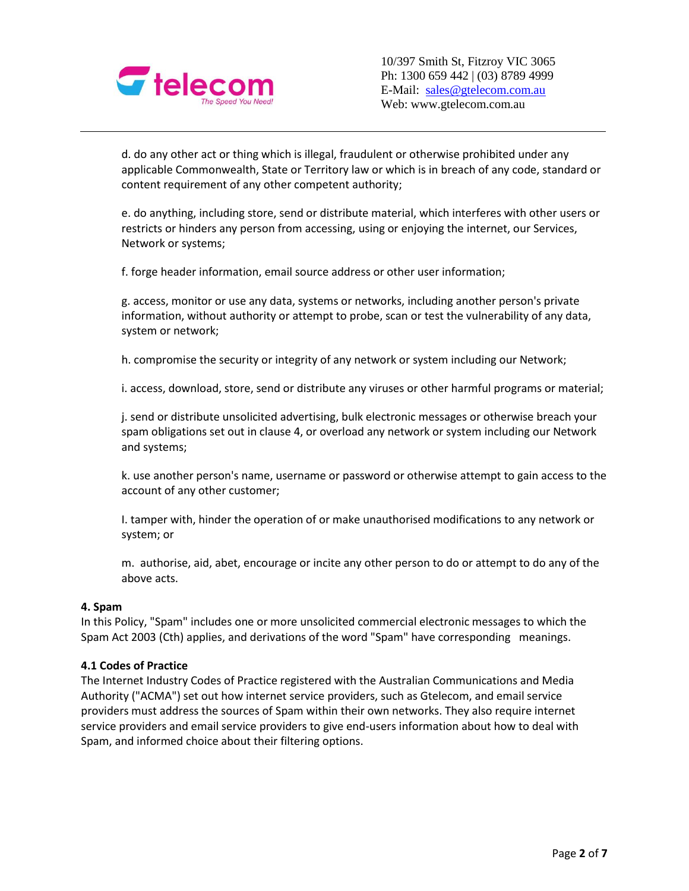

d. do any other act or thing which is illegal, fraudulent or otherwise prohibited under any applicable Commonwealth, State or Territory law or which is in breach of any code, standard or content requirement of any other competent authority;

e. do anything, including store, send or distribute material, which interferes with other users or restricts or hinders any person from accessing, using or enjoying the internet, our Services, Network or systems;

f. forge header information, email source address or other user information;

g. access, monitor or use any data, systems or networks, including another person's private information, without authority or attempt to probe, scan or test the vulnerability of any data, system or network;

h. compromise the security or integrity of any network or system including our Network;

i. access, download, store, send or distribute any viruses or other harmful programs or material;

j. send or distribute unsolicited advertising, bulk electronic messages or otherwise breach your spam obligations set out in clause 4, or overload any network or system including our Network and systems;

k. use another person's name, username or password or otherwise attempt to gain access to the account of any other customer;

I. tamper with, hinder the operation of or make unauthorised modifications to any network or system; or

m. authorise, aid, abet, encourage or incite any other person to do or attempt to do any of the above acts.

### **4. Spam**

In this Policy, "Spam" includes one or more unsolicited commercial electronic messages to which the Spam Act 2003 (Cth) applies, and derivations of the word "Spam" have corresponding meanings.

### **4.1 Codes of Practice**

The Internet Industry Codes of Practice registered with the Australian Communications and Media Authority ("ACMA") set out how internet service providers, such as Gtelecom, and email service providers must address the sources of Spam within their own networks. They also require internet service providers and email service providers to give end-users information about how to deal with Spam, and informed choice about their filtering options.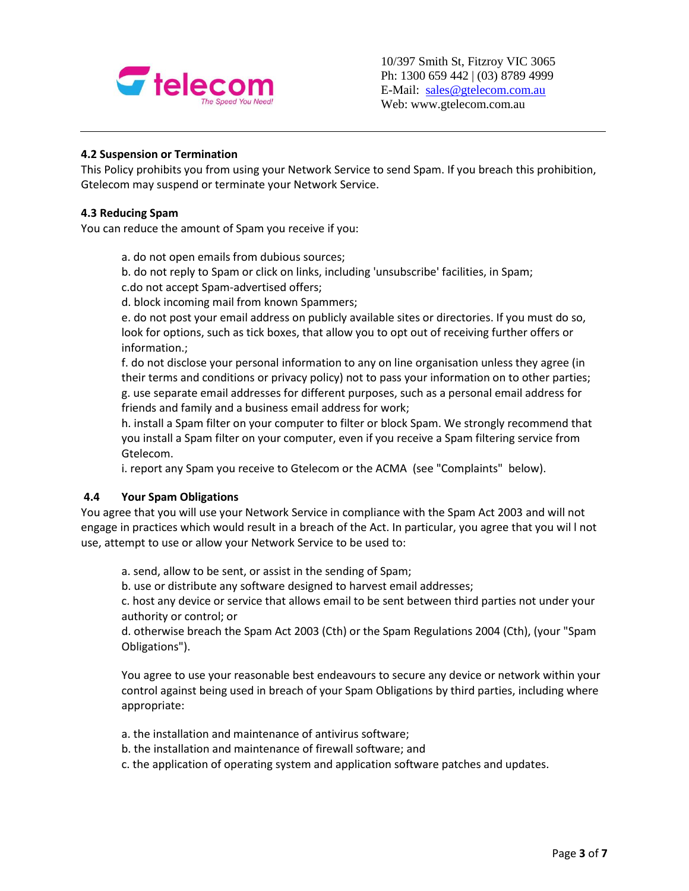

# **4.2 Suspension or Termination**

This Policy prohibits you from using your Network Service to send Spam. If you breach this prohibition, Gtelecom may suspend or terminate your Network Service.

## **4.3 Reducing Spam**

You can reduce the amount of Spam you receive if you:

a. do not open emails from dubious sources;

b. do not reply to Spam or click on links, including 'unsubscribe' facilities, in Spam; c.do not accept Spam-advertised offers;

d. block incoming mail from known Spammers;

e. do not post your email address on publicly available sites or directories. If you must do so, look for options, such as tick boxes, that allow you to opt out of receiving further offers or information.;

f. do not disclose your personal information to any on line organisation unless they agree (in their terms and conditions or privacy policy) not to pass your information on to other parties; g. use separate email addresses for different purposes, such as a personal email address for friends and family and a business email address for work;

h. install a Spam filter on your computer to filter or block Spam. We strongly recommend that you install a Spam filter on your computer, even if you receive a Spam filtering service from Gtelecom.

i. report any Spam you receive to Gtelecom or the ACMA (see "Complaints" below).

# **4.4 Your Spam Obligations**

You agree that you will use your Network Service in compliance with the Spam Act 2003 and will not engage in practices which would result in a breach of the Act. In particular, you agree that you wil l not use, attempt to use or allow your Network Service to be used to:

a. send, allow to be sent, or assist in the sending of Spam;

b. use or distribute any software designed to harvest email addresses;

c. host any device or service that allows email to be sent between third parties not under your authority or control; or

d. otherwise breach the Spam Act 2003 (Cth) or the Spam Regulations 2004 (Cth), (your "Spam Obligations").

You agree to use your reasonable best endeavours to secure any device or network within your control against being used in breach of your Spam Obligations by third parties, including where appropriate:

a. the installation and maintenance of antivirus software;

b. the installation and maintenance of firewall software; and

c. the application of operating system and application software patches and updates.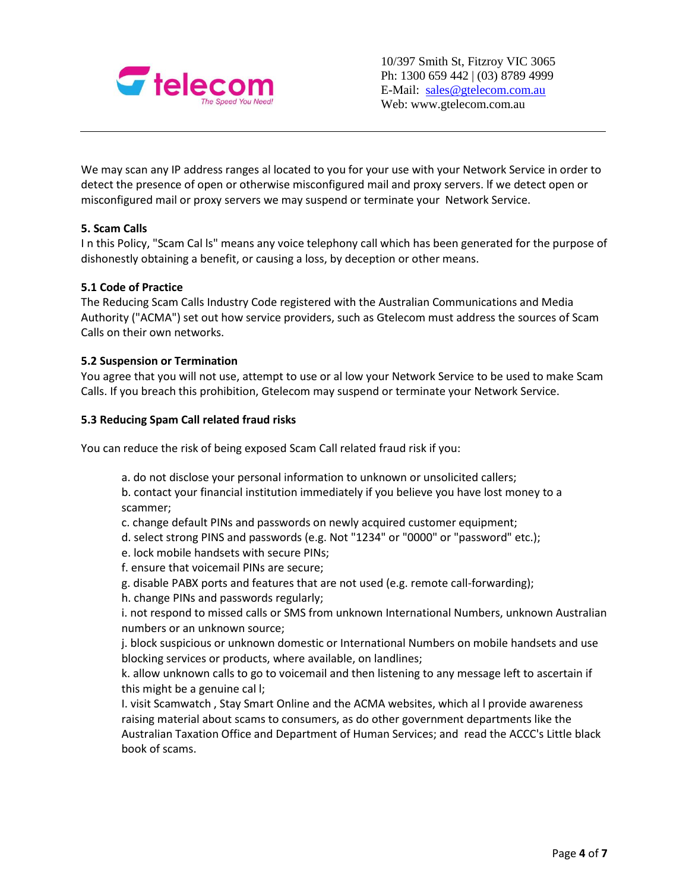

We may scan any IP address ranges al located to you for your use with your Network Service in order to detect the presence of open or otherwise misconfigured mail and proxy servers. lf we detect open or misconfigured mail or proxy servers we may suspend or terminate your Network Service.

# **5. Scam Calls**

I n this Policy, "Scam Cal ls" means any voice telephony call which has been generated for the purpose of dishonestly obtaining a benefit, or causing a loss, by deception or other means.

## **5.1 Code of Practice**

The Reducing Scam Calls Industry Code registered with the Australian Communications and Media Authority ("ACMA") set out how service providers, such as Gtelecom must address the sources of Scam Calls on their own networks.

## **5.2 Suspension or Termination**

You agree that you will not use, attempt to use or al low your Network Service to be used to make Scam Calls. If you breach this prohibition, Gtelecom may suspend or terminate your Network Service.

### **5.3 Reducing Spam Call related fraud risks**

You can reduce the risk of being exposed Scam Call related fraud risk if you:

a. do not disclose your personal information to unknown or unsolicited callers;

b. contact your financial institution immediately if you believe you have lost money to a scammer;

c. change default PINs and passwords on newly acquired customer equipment;

- d. select strong PINS and passwords (e.g. Not "1234" or "0000" or "password" etc.);
- e. lock mobile handsets with secure PINs;
- f. ensure that voicemail PINs are secure;
- g. disable PABX ports and features that are not used (e.g. remote call-forwarding);
- h. change PINs and passwords regularly;

i. not respond to missed calls or SMS from unknown International Numbers, unknown Australian numbers or an unknown source;

j. block suspicious or unknown domestic or International Numbers on mobile handsets and use blocking services or products, where available, on landlines;

k. allow unknown calls to go to voicemail and then listening to any message left to ascertain if this might be a genuine cal l;

I. visit Scamwatch , Stay Smart Online and the ACMA websites, which al l provide awareness raising material about scams to consumers, as do other government departments like the Australian Taxation Office and Department of Human Services; and read the ACCC's Little black book of scams.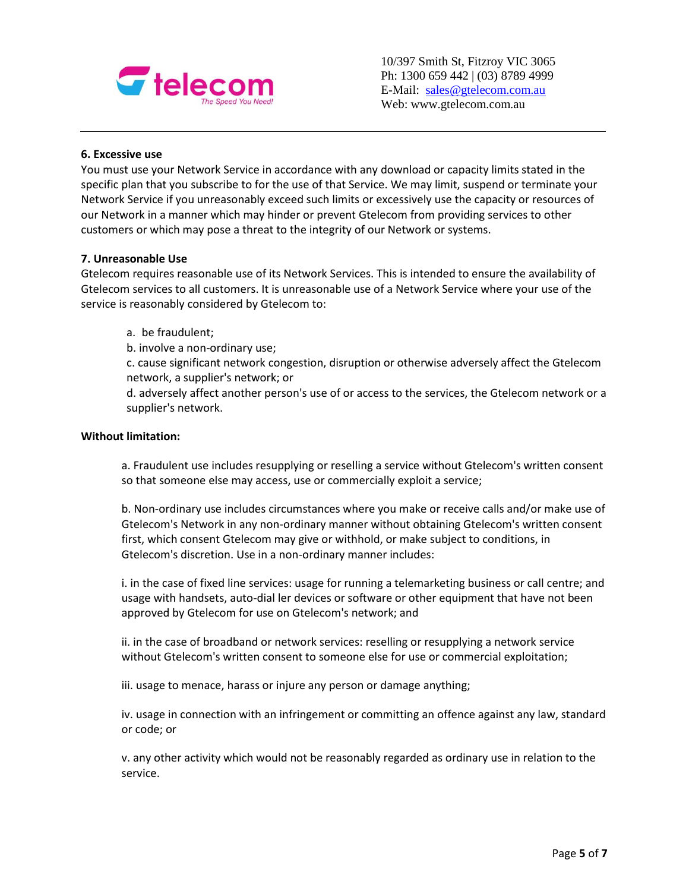

## **6. Excessive use**

You must use your Network Service in accordance with any download or capacity limits stated in the specific plan that you subscribe to for the use of that Service. We may limit, suspend or terminate your Network Service if you unreasonably exceed such limits or excessively use the capacity or resources of our Network in a manner which may hinder or prevent Gtelecom from providing services to other customers or which may pose a threat to the integrity of our Network or systems.

### **7. Unreasonable Use**

Gtelecom requires reasonable use of its Network Services. This is intended to ensure the availability of Gtelecom services to all customers. It is unreasonable use of a Network Service where your use of the service is reasonably considered by Gtelecom to:

a. be fraudulent;

b. involve a non-ordinary use;

c. cause significant network congestion, disruption or otherwise adversely affect the Gtelecom network, a supplier's network; or

d. adversely affect another person's use of or access to the services, the Gtelecom network or a supplier's network.

### **Without limitation:**

a. Fraudulent use includes resupplying or reselling a service without Gtelecom's written consent so that someone else may access, use or commercially exploit a service;

b. Non-ordinary use includes circumstances where you make or receive calls and/or make use of Gtelecom's Network in any non-ordinary manner without obtaining Gtelecom's written consent first, which consent Gtelecom may give or withhold, or make subject to conditions, in Gtelecom's discretion. Use in a non-ordinary manner includes:

i. in the case of fixed line services: usage for running a telemarketing business or call centre; and usage with handsets, auto-dial ler devices or software or other equipment that have not been approved by Gtelecom for use on Gtelecom's network; and

ii. in the case of broadband or network services: reselling or resupplying a network service without Gtelecom's written consent to someone else for use or commercial exploitation;

iii. usage to menace, harass or injure any person or damage anything;

iv. usage in connection with an infringement or committing an offence against any law, standard or code; or

v. any other activity which would not be reasonably regarded as ordinary use in relation to the service.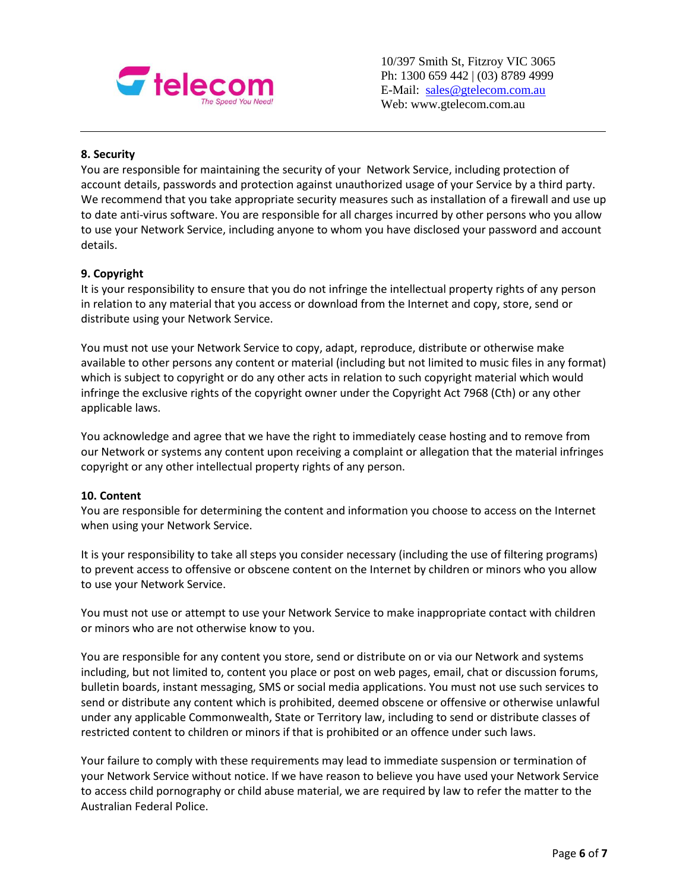

10/397 Smith St, Fitzroy VIC 3065 Ph: 1300 659 442 | (03) 8789 4999 E-Mail: [sales@gtelecom.com.au](mailto:sales@gtelecom.com.au) Web: www.gtelecom.com.au

# **8. Security**

You are responsible for maintaining the security of your Network Service, including protection of account details, passwords and protection against unauthorized usage of your Service by a third party. We recommend that you take appropriate security measures such as installation of a firewall and use up to date anti-virus software. You are responsible for all charges incurred by other persons who you allow to use your Network Service, including anyone to whom you have disclosed your password and account details.

# **9. Copyright**

It is your responsibility to ensure that you do not infringe the intellectual property rights of any person in relation to any material that you access or download from the Internet and copy, store, send or distribute using your Network Service.

You must not use your Network Service to copy, adapt, reproduce, distribute or otherwise make available to other persons any content or material (including but not limited to music files in any format) which is subject to copyright or do any other acts in relation to such copyright material which would infringe the exclusive rights of the copyright owner under the Copyright Act 7968 (Cth) or any other applicable laws.

You acknowledge and agree that we have the right to immediately cease hosting and to remove from our Network or systems any content upon receiving a complaint or allegation that the material infringes copyright or any other intellectual property rights of any person.

# **10. Content**

You are responsible for determining the content and information you choose to access on the Internet when using your Network Service.

It is your responsibility to take all steps you consider necessary (including the use of filtering programs) to prevent access to offensive or obscene content on the Internet by children or minors who you allow to use your Network Service.

You must not use or attempt to use your Network Service to make inappropriate contact with children or minors who are not otherwise know to you.

You are responsible for any content you store, send or distribute on or via our Network and systems including, but not limited to, content you place or post on web pages, email, chat or discussion forums, bulletin boards, instant messaging, SMS or social media applications. You must not use such services to send or distribute any content which is prohibited, deemed obscene or offensive or otherwise unlawful under any applicable Commonwealth, State or Territory law, including to send or distribute classes of restricted content to children or minors if that is prohibited or an offence under such laws.

Your failure to comply with these requirements may lead to immediate suspension or termination of your Network Service without notice. If we have reason to believe you have used your Network Service to access child pornography or child abuse material, we are required by law to refer the matter to the Australian Federal Police.